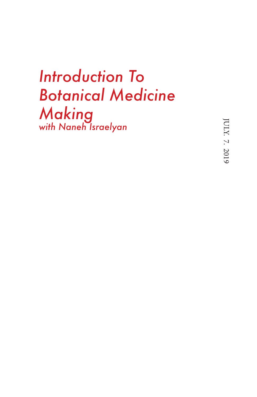## *Introduction To Botanical Medicine Making with Naneh Israelyan*

JULY. 7. 2019 JULY. 7. 2019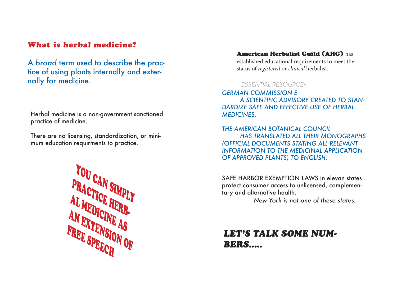## What is herbal medicine?

A *broad* term used to describe the practice of using plants internally and externally for medicine.

Herbal medicine is a non-government sanctioned practice of medicine.

There are no licensing, standardization, or minimum education requirments to practice.



#### American Herbalist Guild (AHG) has

established educational requirements to meet the status of *registered* or *clinical* herbalist.

### *ESSENTIAL RESOURCE~*

*GERMAN COMMISSION E A SCIENTIFIC ADVISORY CREATED TO STAN-DARDIZE SAFE AND EFFECTIVE USE OF HERBAL MEDICINES.* 

*THE AMERICAN BOTANICAL COUNCIL HAS TRANSLATED ALL THEIR MONOGRAPHS (OFFICIAL DOCUMENTS STATING ALL RELEVANT INFORMATION TO THE MEDICINAL APPLICATION OF APPROVED PLANTS) TO ENGLISH.* 

SAFE HARBOR EXEMPTION LAWS in elevan states protect consumer access to unlicensed, complementary and alternative health.

*New York is not one of these states.*

## *LET'S TALK SOME NUM-BERS.....*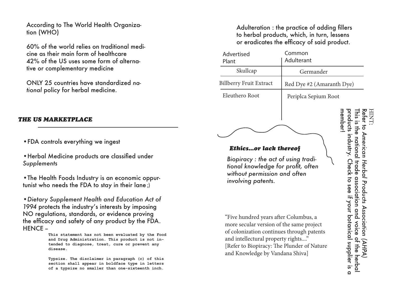According to The World Health Organization (WHO)

60% of the world relies on traditional medicine as their main form of healthcare 42% of the US uses some form of alternative or complementary medicine

ONLY 25 countries have standardized *national* policy for herbal medicine.

### *THE US MARKETPLACE*

•FDA controls everything we ingest

•Herbal Medicine products are classified under *Supplements*

•The Health Foods Industry is an economic oppurtunist who needs the FDA to stay in their lane ;)

•*Dietary Supplement Health and Education Act of 1994* protects the industry's interests by imposing NO regulations, standards, or evidence proving the efficacy and safety of any product by the FDA. HENCE -

> **This statement has not been evaluated by the Food and Drug Administration. This product is not intended to diagnose, treat, cure or prevent any disease.**

**Typsize. The disclaimer in paragraph (c) of this section shall appear in boldface type in letters of a typsize no smaller than one-sixteenth inch.** 

Adulteration : the practice of adding fillers to herbal products, which, in turn, lessens or eradicates the efficacy of said product.

| Advertised<br>Plant                                                                                                                                                                                                                                                                                                                                                                                                      | Common<br>Adulterant      |                                                                                                                                                                      |
|--------------------------------------------------------------------------------------------------------------------------------------------------------------------------------------------------------------------------------------------------------------------------------------------------------------------------------------------------------------------------------------------------------------------------|---------------------------|----------------------------------------------------------------------------------------------------------------------------------------------------------------------|
| Skullcap                                                                                                                                                                                                                                                                                                                                                                                                                 | Germander                 |                                                                                                                                                                      |
| <b>Billberry Fruit Extract</b>                                                                                                                                                                                                                                                                                                                                                                                           | Red Dye #2 (Amaranth Dye) |                                                                                                                                                                      |
| Eleuthero Root                                                                                                                                                                                                                                                                                                                                                                                                           | Periplca Sepium Root      |                                                                                                                                                                      |
| <b>Ethicsor lack thereof</b><br>Biopiracy : the act of using tradi-<br>tional knowledge for profit, often<br>without permission and often<br>involving patents.<br>"Five hundred years after Columbus, a<br>more secular version of the same project<br>of colonization continues through patents<br>and intellectural property rights"<br>[Refer to Biopiracy: The Plunder of Nature<br>and Knowledge by Vandana Shiva] |                           | nember<br>roducts indust<br>ican Herbal Products<br>heck to see it your botanical supplier.<br><b>Irale association</b><br><b>Assoc</b><br>and<br>the<br><b>1S Q</b> |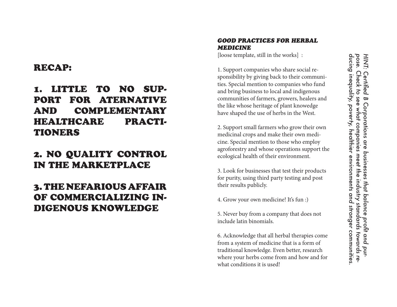## RECAP:

## 1. LITTLE TO NO SUP - PORT FOR ATERNATIVE AND COMPLEMENTARY HEALTHCARE PRACTI-TIONERS

## 2. NO QUALITY CONTROL IN THE MARKETPLACE

## 3. THE NEFARIOUS AFFAIR OF COMMERCIALIZING IN - DIGENOUS KNOWLEDGE

### *GOOD PRACTICES FOR HERBAL MEDICINE*

[loose template, still in the works] :

1. Support companies who share social re sponsibility by giving back to their communi ties. Special mention to companies who fund and bring business to local and indigenous communities of farmers, growers, healers and the like whose heritage of plant knowedge have shaped the use of herbs in the West.

2. Support small farmers who grow their own medicinal crops and make their own medi cine. Special mention to those who employ agroforestry and whose operations support the ecological health of their environment.

3. Look for businesses that test their products for purity, using third party testing and post their results publicly.

4. Grow your own medicine! It's fun :)

5. Never buy from a company that does not include latin binomials.

6. Acknowledge that all herbal therapies come from a system of medicine that is a form of traditional knowledge. Even better, research where your herbs come from and how and for what conditions it is used!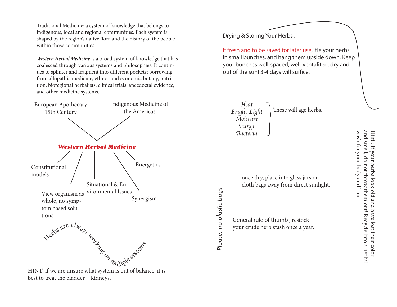Traditional Medicine: a system of knowledge that belongs to indigenous, local and regional communities. Each system is shaped by the region's native flora and the history of the people within those communities.

*Western Herbal Medicine* is a broad system of knowledge that has coalesced through various systems and philosophies. It continues to splinter and fragment into different pockets; borrowing from allopathic medicine, ethno- and economic botany, nutrition, bioregional herbalists, clinical trials, anecdoctal evidence, and other medicine systems.



Drying & Storing Your Herbs :

If fresh and to be saved for later use, tie your herbs in small bunches, and hang them upside down. Keep your bunches well-spaced, well-ventalited, dry and out of the sun! 3-4 days will suffice.

*Heat Bright Light Moisture Fungi Bacteria*  These will age herbs.

once dry, place into glass jars or cloth bags away from direct sunlight.

General rule of thumb ; restock your crude herb stash once a year.

*-- Please, no plastic bags --*

Please, no plastic bags

 $\mathbf{I}$ 

wash for your body and hair. wash for your body and hair. and smell, do not throw them out! Recycle into a herbal and smell, do not throw them out! Recycle into a herbal Hint : If your herbs look old and have lost their color Hint : If your herbs look old and have lost their color

HINT: if we are unsure what system is out of balance, it is best to treat the bladder + kidneys.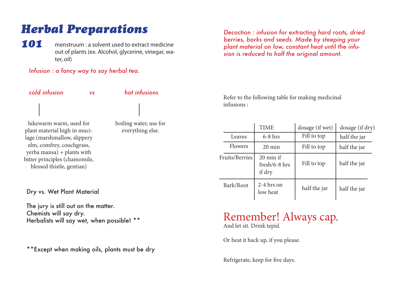# *Herbal Preparations*

*101* menstruum : a solvent used to extract medicine out of plants (ex. Alcohol, glycerine, vinegar, water, oil)

## *Infusion : a fancy way to say herbal tea.*

*cold infusion vs hot infusions*  lukewarm warm, used for plant material high in mucilage (marshmallow, slippery elm, comfrey, couchgrass, yerba mansa) + plants with bitter principles (chamomile,

boiling water, use for everything else.

Dry vs. Wet Plant Material

blessed thistle, gentian)

The jury is still out on the matter. Chemists will say dry. Herbalists will say wet, when possible! \*\*

\*\*Except when making oils, plants must be dry

*Decoction : infusion for extracting hard roots, dried berries, barks and seeds. Made by steeping your plant material on low, constant heat until the infusion is reduced to half the original amount.* 

Refer to the following table for making medicinal infusions :

|                | <b>TIME</b>                                    | dosage (if wet) | dosage (if dry) |
|----------------|------------------------------------------------|-----------------|-----------------|
| Leaves         | $6-8$ hrs                                      | Fill to top     | half the jar    |
| <b>Flowers</b> | $20 \text{ min}$                               | Fill to top     | half the jar    |
| Fruits/Berries | $20 \text{ min if}$<br>fresh/6-8 hrs<br>if dry | Fill to top     | half the jar    |
| Bark/Root      | $2-4$ hrs on<br>low heat                       | half the jar    | half the jar    |

## Remember! Always cap.

And let sit. Drink tepid.

Or heat it back up, if you please.

Refrigerate, keep for five days.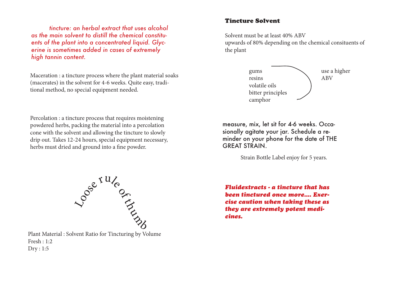*tincture: an herbal extract that uses alcohol as the main solvent to distill the chemical constituents of the plant into a concentrated liquid. Glycerine is sometimes added in cases of extremely high tannin content.* 

Maceration : a tincture process where the plant material soaks (macerates) in the solvent for 4-6 weeks. Quite easy, traditional method, no special equipment needed.

Percolation : a tincture process that requires moistening powdered herbs, packing the material into a percolation cone with the solvent and allowing the tincture to slowly drip out. Takes 12-24 hours, special equipment necessary, herbs must dried and ground into a fine powder.



Plant Material : Solvent Ratio for Tincturing by Volume Fresh : 1:2 Dry : 1:5

### Tincture Solvent

Solvent must be at least 40% ABV upwards of 80% depending on the chemical consituents of the plant



measure, mix, let sit for 4-6 weeks. Occasionally agitate your jar. Schedule a reminder on your phone for the date of THE GREAT STRAIN.

Strain Bottle Label enjoy for 5 years.

*Fluidextracts - a tincture that has been tinctured once more.... Exercise caution when taking these as they are extremely potent medicines.*